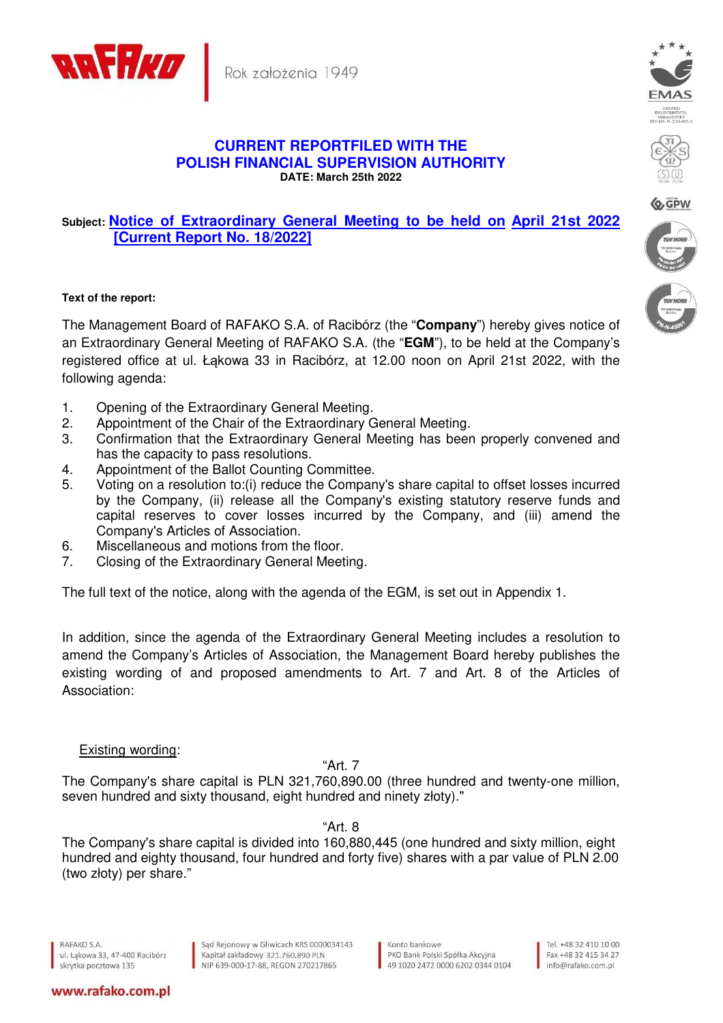

## **CURRENT REPORTFILED WITH THE POLISH FINANCIAL SUPERVISION AUTHORITY DATE: March 25th 2022**

## **Subject: Notice of Extraordinary General Meeting to be held on April 21st 2022 [Current Report No. 18/2022]**

## **Text of the report:**

The Management Board of RAFAKO S.A. of Racibórz (the "**Company**") hereby gives notice of an Extraordinary General Meeting of RAFAKO S.A. (the "**EGM**"), to be held at the Company's registered office at ul. Łakowa 33 in Racibórz, at 12.00 noon on April 21st 2022, with the following agenda:

- 1. Opening of the Extraordinary General Meeting.
- 2. Appointment of the Chair of the Extraordinary General Meeting.
- 3. Confirmation that the Extraordinary General Meeting has been properly convened and has the capacity to pass resolutions.
- 4. Appointment of the Ballot Counting Committee.
- 5. Voting on a resolution to:(i) reduce the Company's share capital to offset losses incurred by the Company, (ii) release all the Company's existing statutory reserve funds and capital reserves to cover losses incurred by the Company, and (iii) amend the Company's Articles of Association.
- 6. Miscellaneous and motions from the floor.
- 7. Closing of the Extraordinary General Meeting.

The full text of the notice, along with the agenda of the EGM, is set out in Appendix 1.

In addition, since the agenda of the Extraordinary General Meeting includes a resolution to amend the Company's Articles of Association, the Management Board hereby publishes the existing wording of and proposed amendments to Art. 7 and Art. 8 of the Articles of Association:

## Existing wording:

"Art. 7

The Company's share capital is PLN 321,760,890.00 (three hundred and twenty-one million, seven hundred and sixty thousand, eight hundred and ninety złoty)."

"Art. 8

The Company's share capital is divided into 160,880,445 (one hundred and sixty million, eight hundred and eighty thousand, four hundred and forty five) shares with a par value of PLN 2.00 (two złoty) per share."

www.rafako.com.pl